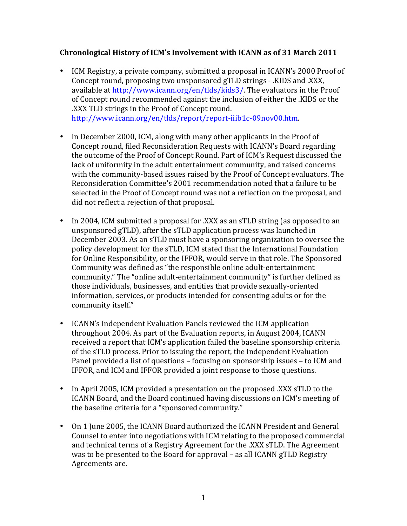## Chronological History of ICM's Involvement with ICANN as of 31 March 2011

- ICM Registry, a private company, submitted a proposal in ICANN's 2000 Proof of Concept round, proposing two unsponsored gTLD strings - .KIDS and .XXX. available at http://www.icann.org/en/tlds/kids3/. The evaluators in the Proof of Concept round recommended against the inclusion of either the .KIDS or the .XXX TLD strings in the Proof of Concept round. http://www.icann.org/en/tlds/report/report-iiib1c-09nov00.htm.
- In December 2000, ICM, along with many other applicants in the Proof of Concept round, filed Reconsideration Requests with ICANN's Board regarding the outcome of the Proof of Concept Round. Part of ICM's Request discussed the lack of uniformity in the adult entertainment community, and raised concerns with the community-based issues raised by the Proof of Concept evaluators. The Reconsideration Committee's 2001 recommendation noted that a failure to be selected in the Proof of Concept round was not a reflection on the proposal, and did not reflect a rejection of that proposal.
- In 2004, ICM submitted a proposal for .XXX as an sTLD string (as opposed to an unsponsored gTLD), after the sTLD application process was launched in December 2003. As an sTLD must have a sponsoring organization to oversee the policy development for the sTLD, ICM stated that the International Foundation for Online Responsibility, or the IFFOR, would serve in that role. The Sponsored Community was defined as "the responsible online adult-entertainment community." The "online adult-entertainment community" is further defined as those individuals, businesses, and entities that provide sexually-oriented information, services, or products intended for consenting adults or for the community itself."
- ICANN's Independent Evaluation Panels reviewed the ICM application throughout 2004. As part of the Evaluation reports, in August 2004, ICANN received a report that ICM's application failed the baseline sponsorship criteria of the sTLD process. Prior to issuing the report, the Independent Evaluation Panel provided a list of questions – focusing on sponsorship issues – to ICM and IFFOR, and ICM and IFFOR provided a joint response to those questions.
- In April 2005, ICM provided a presentation on the proposed .XXX sTLD to the ICANN Board, and the Board continued having discussions on ICM's meeting of the baseline criteria for a "sponsored community."
- On 1 June 2005, the ICANN Board authorized the ICANN President and General Counsel to enter into negotiations with ICM relating to the proposed commercial and technical terms of a Registry Agreement for the .XXX sTLD. The Agreement was to be presented to the Board for approval – as all ICANN gTLD Registry Agreements are.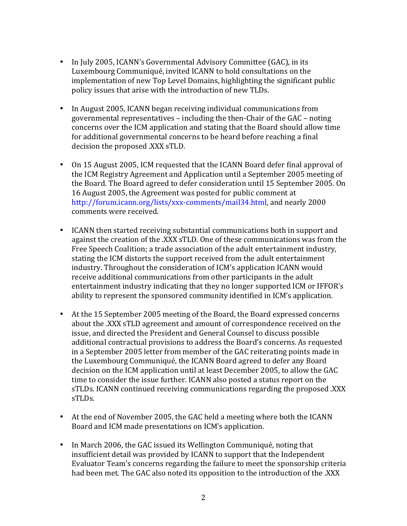- In July 2005, ICANN's Governmental Advisory Committee (GAC), in its Luxembourg Communiqué, invited ICANN to hold consultations on the implementation of new Top Level Domains, highlighting the significant public policy issues that arise with the introduction of new TLDs.
- In August 2005, ICANN began receiving individual communications from governmental representatives – including the then-Chair of the GAC – noting concerns over the ICM application and stating that the Board should allow time for additional governmental concerns to be heard before reaching a final decision the proposed .XXX sTLD.
- On 15 August 2005, ICM requested that the ICANN Board defer final approval of the ICM Registry Agreement and Application until a September 2005 meeting of the Board. The Board agreed to defer consideration until 15 September 2005. On 16 August 2005, the Agreement was posted for public comment at http://forum.icann.org/lists/xxx-comments/mail34.html, and nearly 2000 comments were received.
- ICANN then started receiving substantial communications both in support and against the creation of the .XXX sTLD. One of these communications was from the Free Speech Coalition; a trade association of the adult entertainment industry, stating the ICM distorts the support received from the adult entertainment industry. Throughout the consideration of ICM's application ICANN would receive additional communications from other participants in the adult entertainment industry indicating that they no longer supported ICM or IFFOR's ability to represent the sponsored community identified in ICM's application.
- At the 15 September 2005 meeting of the Board, the Board expressed concerns about the .XXX sTLD agreement and amount of correspondence received on the issue, and directed the President and General Counsel to discuss possible additional contractual provisions to address the Board's concerns. As requested in a September 2005 letter from member of the GAC reiterating points made in the Luxembourg Communiqué, the ICANN Board agreed to defer any Board decision on the ICM application until at least December 2005, to allow the GAC time to consider the issue further. ICANN also posted a status report on the sTLDs. ICANN continued receiving communications regarding the proposed .XXX sTLDs.!
- At the end of November 2005, the GAC held a meeting where both the ICANN Board and ICM made presentations on ICM's application.
- In March 2006, the GAC issued its Wellington Communiqué, noting that insufficient detail was provided by ICANN to support that the Independent Evaluator Team's concerns regarding the failure to meet the sponsorship criteria had been met. The GAC also noted its opposition to the introduction of the .XXX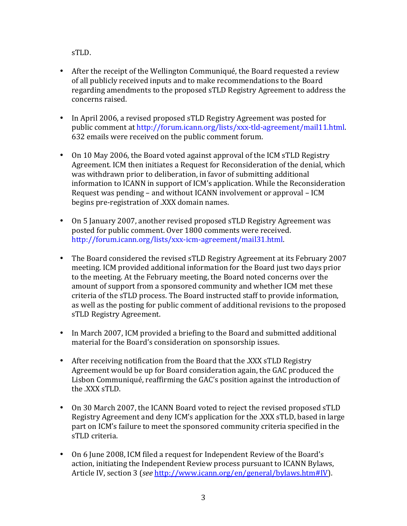sTLD.!

- After the receipt of the Wellington Communiqué, the Board requested a review of all publicly received inputs and to make recommendations to the Board regarding amendments to the proposed sTLD Registry Agreement to address the concerns raised.
- In April 2006, a revised proposed sTLD Registry Agreement was posted for public comment at http://forum.icann.org/lists/xxx-tld-agreement/mail11.html. 632 emails were received on the public comment forum.
- On 10 May 2006, the Board voted against approval of the ICM sTLD Registry Agreement. ICM then initiates a Request for Reconsideration of the denial, which was withdrawn prior to deliberation, in favor of submitting additional information to ICANN in support of ICM's application. While the Reconsideration Request was pending – and without ICANN involvement or approval – ICM begins pre-registration of .XXX domain names.
- On 5 January 2007, another revised proposed sTLD Registry Agreement was posted for public comment. Over 1800 comments were received. http://forum.icann.org/lists/xxx-icm-agreement/mail31.html.
- The Board considered the revised sTLD Registry Agreement at its February 2007 meeting. ICM provided additional information for the Board just two days prior to the meeting. At the February meeting, the Board noted concerns over the amount of support from a sponsored community and whether ICM met these criteria of the sTLD process. The Board instructed staff to provide information, as well as the posting for public comment of additional revisions to the proposed sTLD Registry Agreement.
- In March 2007, ICM provided a briefing to the Board and submitted additional material for the Board's consideration on sponsorship issues.
- After receiving notification from the Board that the .XXX sTLD Registry Agreement would be up for Board consideration again, the GAC produced the Lisbon Communiqué, reaffirming the GAC's position against the introduction of the .XXX sTLD.
- On 30 March 2007, the ICANN Board voted to reject the revised proposed sTLD Registry Agreement and deny ICM's application for the .XXX sTLD, based in large part on ICM's failure to meet the sponsored community criteria specified in the sTLD criteria.
- On 6 June 2008, ICM filed a request for Independent Review of the Board's action, initiating the Independent Review process pursuant to ICANN Bylaws, Article IV, section 3 (*see* http://www.icann.org/en/general/bylaws.htm#IV).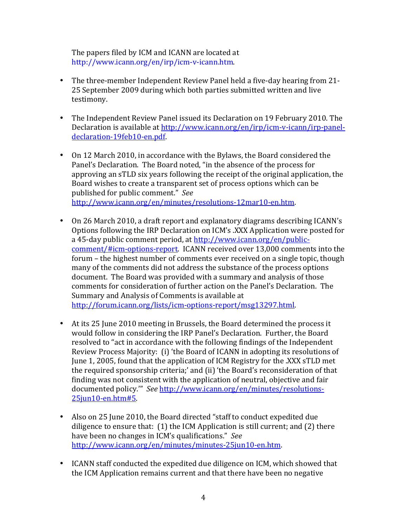The papers filed by ICM and ICANN are located at http://www.icann.org/en/irp/icm-v-icann.htm.

- The three-member Independent Review Panel held a five-day hearing from 21-25 September 2009 during which both parties submitted written and live testimony.
- The Independent Review Panel issued its Declaration on 19 February 2010. The Declaration is available at http://www.icann.org/en/irp/icm-v-icann/irp-paneldeclaration-19feb10-en.pdf.
- On 12 March 2010, in accordance with the Bylaws, the Board considered the Panel's Declaration. The Board noted, "in the absence of the process for approving an sTLD six years following the receipt of the original application, the Board wishes to create a transparent set of process options which can be published for public comment." See http://www.icann.org/en/minutes/resolutions-12mar10-en.htm.
- On 26 March 2010, a draft report and explanatory diagrams describing ICANN's Options following the IRP Declaration on ICM's .XXX Application were posted for a 45-day public comment period, at http://www.icann.org/en/publiccomment/#icm-options-report. ICANN received over 13,000 comments into the forum – the highest number of comments ever received on a single topic, though many of the comments did not address the substance of the process options document. The Board was provided with a summary and analysis of those comments for consideration of further action on the Panel's Declaration. The Summary and Analysis of Comments is available at http://forum.icann.org/lists/icm-options-report/msg13297.html.
- At its 25 June 2010 meeting in Brussels, the Board determined the process it would follow in considering the IRP Panel's Declaration. Further, the Board resolved to "act in accordance with the following findings of the Independent Review Process Majority: (i) 'the Board of ICANN in adopting its resolutions of June 1, 2005, found that the application of ICM Registry for the .XXX sTLD met the required sponsorship criteria;' and (ii) 'the Board's reconsideration of that finding was not consistent with the application of neutral, objective and fair documented policy."" See http://www.icann.org/en/minutes/resolutions-25jun10-en.htm#5.
- Also on 25 June 2010, the Board directed "staff to conduct expedited due diligence to ensure that: (1) the ICM Application is still current; and (2) there have been no changes in ICM's qualifications." See http://www.icann.org/en/minutes/minutes-25jun10-en.htm.
- ICANN staff conducted the expedited due diligence on ICM, which showed that the ICM Application remains current and that there have been no negative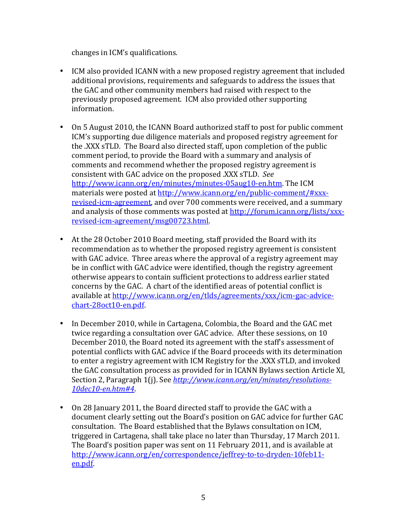changes in ICM's qualifications.

- ICM also provided ICANN with a new proposed registry agreement that included additional provisions, requirements and safeguards to address the issues that the GAC and other community members had raised with respect to the previously proposed agreement. ICM also provided other supporting information.
- On 5 August 2010, the ICANN Board authorized staff to post for public comment ICM's supporting due diligence materials and proposed registry agreement for the .XXX sTLD. The Board also directed staff, upon completion of the public comment period, to provide the Board with a summary and analysis of comments and recommend whether the proposed registry agreement is consistent with GAC advice on the proposed .XXX sTLD. See http://www.icann.org/en/minutes/minutes-05aug10-en.htm. The ICM materials were posted at http://www.icann.org/en/public-comment/#xxxrevised-icm-agreement, and over 700 comments were received, and a summary and analysis of those comments was posted at http://forum.icann.org/lists/xxxrevised-icm-agreement/msg00723.html.
- At the 28 October 2010 Board meeting, staff provided the Board with its recommendation as to whether the proposed registry agreement is consistent with GAC advice. Three areas where the approval of a registry agreement may be in conflict with GAC advice were identified, though the registry agreement otherwise appears to contain sufficient protections to address earlier stated concerns by the GAC. A chart of the identified areas of potential conflict is available at http://www.icann.org/en/tlds/agreements/xxx/icm-gac-advice $chart-28oct10-$ en.pdf.
- In December 2010, while in Cartagena, Colombia, the Board and the GAC met twice regarding a consultation over GAC advice. After these sessions, on 10 December 2010, the Board noted its agreement with the staff's assessment of potential conflicts with GAC advice if the Board proceeds with its determination to enter a registry agreement with ICM Registry for the .XXX sTLD, and invoked the GAC consultation process as provided for in ICANN Bylaws section Article XI, Section 2, Paragraph 1(j). See *http://www.icann.org/en/minutes/resolutions-*10dec10-en.htm#4.
- On 28 January 2011, the Board directed staff to provide the GAC with a document clearly setting out the Board's position on GAC advice for further GAC consultation. The Board established that the Bylaws consultation on ICM, triggered in Cartagena, shall take place no later than Thursday, 17 March 2011. The Board's position paper was sent on 11 February 2011, and is available at http://www.icann.org/en/correspondence/jeffrey-to-to-dryden-10feb11en.pdf.